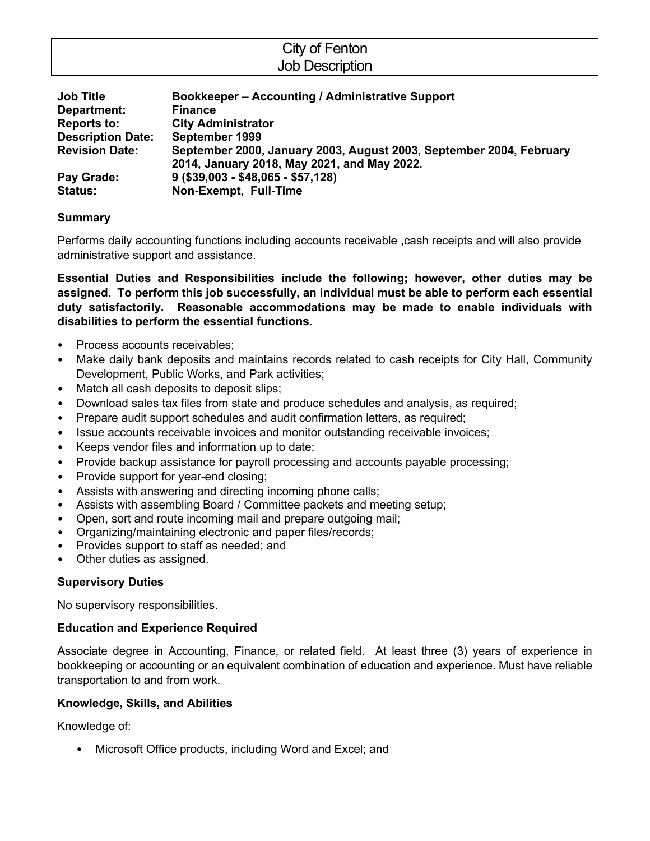| City of Fenton         |
|------------------------|
| <b>Job Description</b> |
|                        |

| <b>Job Title</b>         | Bookkeeper - Accounting / Administrative Support                                                                   |
|--------------------------|--------------------------------------------------------------------------------------------------------------------|
| Department:              | <b>Finance</b>                                                                                                     |
| <b>Reports to:</b>       | <b>City Administrator</b>                                                                                          |
| <b>Description Date:</b> | September 1999                                                                                                     |
| <b>Revision Date:</b>    | September 2000, January 2003, August 2003, September 2004, February<br>2014, January 2018, May 2021, and May 2022. |
| Pay Grade:               | $9($ \$39,003 - \$48,065 - \$57,128)                                                                               |
| <b>Status:</b>           | Non-Exempt, Full-Time                                                                                              |

# **Summary**

Performs daily accounting functions including accounts receivable ,cash receipts and will also provide administrative support and assistance.

**Essential Duties and Responsibilities include the following; however, other duties may be assigned. To perform this job successfully, an individual must be able to perform each essential duty satisfactorily. Reasonable accommodations may be made to enable individuals with disabilities to perform the essential functions.**

- Process accounts receivables:
- Make daily bank deposits and maintains records related to cash receipts for City Hall, Community Development, Public Works, and Park activities;
- Match all cash deposits to deposit slips;
- Download sales tax files from state and produce schedules and analysis, as required;
- Prepare audit support schedules and audit confirmation letters, as required;
- Issue accounts receivable invoices and monitor outstanding receivable invoices;
- Keeps vendor files and information up to date;
- Provide backup assistance for payroll processing and accounts payable processing;
- Provide support for year-end closing;
- Assists with answering and directing incoming phone calls;
- Assists with assembling Board / Committee packets and meeting setup;
- Open, sort and route incoming mail and prepare outgoing mail;
- Organizing/maintaining electronic and paper files/records;
- Provides support to staff as needed; and
- Other duties as assigned.

# **Supervisory Duties**

No supervisory responsibilities.

#### **Education and Experience Required**

Associate degree in Accounting, Finance, or related field. At least three (3) years of experience in bookkeeping or accounting or an equivalent combination of education and experience. Must have reliable transportation to and from work.

#### **Knowledge, Skills, and Abilities**

Knowledge of:

• Microsoft Office products, including Word and Excel; and